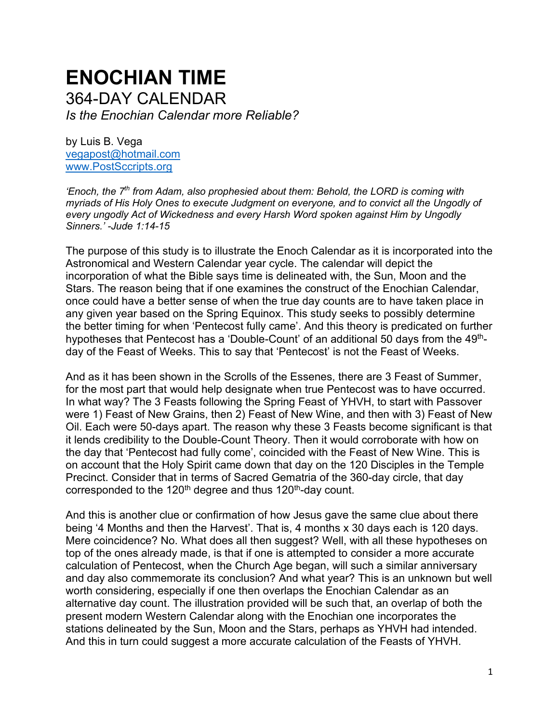# **ENOCHIAN TIME** 364-DAY CALENDAR *Is the Enochian Calendar more Reliable?*

by Luis B. Vega [vegapost@hotmail.com](mailto:vegapost@hotmail.com) [www.PostSccripts.org](http://www.postsccripts.org/)

*'Enoch, the 7 th from Adam, also prophesied about them: Behold, the LORD is coming with myriads of His Holy Ones to execute Judgment on everyone, and to convict all the Ungodly of every ungodly Act of Wickedness and every Harsh Word spoken against Him by Ungodly Sinners.' -Jude 1:14-15*

The purpose of this study is to illustrate the Enoch Calendar as it is incorporated into the Astronomical and Western Calendar year cycle. The calendar will depict the incorporation of what the Bible says time is delineated with, the Sun, Moon and the Stars. The reason being that if one examines the construct of the Enochian Calendar, once could have a better sense of when the true day counts are to have taken place in any given year based on the Spring Equinox. This study seeks to possibly determine the better timing for when 'Pentecost fully came'. And this theory is predicated on further hypotheses that Pentecost has a 'Double-Count' of an additional 50 days from the 49<sup>th</sup>day of the Feast of Weeks. This to say that 'Pentecost' is not the Feast of Weeks.

And as it has been shown in the Scrolls of the Essenes, there are 3 Feast of Summer, for the most part that would help designate when true Pentecost was to have occurred. In what way? The 3 Feasts following the Spring Feast of YHVH, to start with Passover were 1) Feast of New Grains, then 2) Feast of New Wine, and then with 3) Feast of New Oil. Each were 50-days apart. The reason why these 3 Feasts become significant is that it lends credibility to the Double-Count Theory. Then it would corroborate with how on the day that 'Pentecost had fully come', coincided with the Feast of New Wine. This is on account that the Holy Spirit came down that day on the 120 Disciples in the Temple Precinct. Consider that in terms of Sacred Gematria of the 360-day circle, that day corresponded to the 120<sup>th</sup> degree and thus 120<sup>th</sup>-day count.

And this is another clue or confirmation of how Jesus gave the same clue about there being '4 Months and then the Harvest'. That is, 4 months x 30 days each is 120 days. Mere coincidence? No. What does all then suggest? Well, with all these hypotheses on top of the ones already made, is that if one is attempted to consider a more accurate calculation of Pentecost, when the Church Age began, will such a similar anniversary and day also commemorate its conclusion? And what year? This is an unknown but well worth considering, especially if one then overlaps the Enochian Calendar as an alternative day count. The illustration provided will be such that, an overlap of both the present modern Western Calendar along with the Enochian one incorporates the stations delineated by the Sun, Moon and the Stars, perhaps as YHVH had intended. And this in turn could suggest a more accurate calculation of the Feasts of YHVH.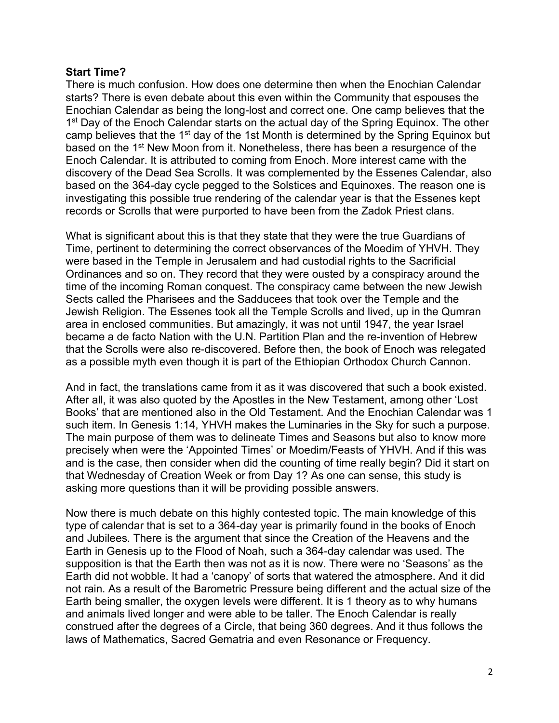#### **Start Time?**

There is much confusion. How does one determine then when the Enochian Calendar starts? There is even debate about this even within the Community that espouses the Enochian Calendar as being the long-lost and correct one. One camp believes that the 1<sup>st</sup> Day of the Enoch Calendar starts on the actual day of the Spring Equinox. The other camp believes that the 1<sup>st</sup> day of the 1st Month is determined by the Spring Equinox but based on the 1<sup>st</sup> New Moon from it. Nonetheless, there has been a resurgence of the Enoch Calendar. It is attributed to coming from Enoch. More interest came with the discovery of the Dead Sea Scrolls. It was complemented by the Essenes Calendar, also based on the 364-day cycle pegged to the Solstices and Equinoxes. The reason one is investigating this possible true rendering of the calendar year is that the Essenes kept records or Scrolls that were purported to have been from the Zadok Priest clans.

What is significant about this is that they state that they were the true Guardians of Time, pertinent to determining the correct observances of the Moedim of YHVH. They were based in the Temple in Jerusalem and had custodial rights to the Sacrificial Ordinances and so on. They record that they were ousted by a conspiracy around the time of the incoming Roman conquest. The conspiracy came between the new Jewish Sects called the Pharisees and the Sadducees that took over the Temple and the Jewish Religion. The Essenes took all the Temple Scrolls and lived, up in the Qumran area in enclosed communities. But amazingly, it was not until 1947, the year Israel became a de facto Nation with the U.N. Partition Plan and the re-invention of Hebrew that the Scrolls were also re-discovered. Before then, the book of Enoch was relegated as a possible myth even though it is part of the Ethiopian Orthodox Church Cannon.

And in fact, the translations came from it as it was discovered that such a book existed. After all, it was also quoted by the Apostles in the New Testament, among other 'Lost Books' that are mentioned also in the Old Testament. And the Enochian Calendar was 1 such item. In Genesis 1:14, YHVH makes the Luminaries in the Sky for such a purpose. The main purpose of them was to delineate Times and Seasons but also to know more precisely when were the 'Appointed Times' or Moedim/Feasts of YHVH. And if this was and is the case, then consider when did the counting of time really begin? Did it start on that Wednesday of Creation Week or from Day 1? As one can sense, this study is asking more questions than it will be providing possible answers.

Now there is much debate on this highly contested topic. The main knowledge of this type of calendar that is set to a 364-day year is primarily found in the books of Enoch and Jubilees. There is the argument that since the Creation of the Heavens and the Earth in Genesis up to the Flood of Noah, such a 364-day calendar was used. The supposition is that the Earth then was not as it is now. There were no 'Seasons' as the Earth did not wobble. It had a 'canopy' of sorts that watered the atmosphere. And it did not rain. As a result of the Barometric Pressure being different and the actual size of the Earth being smaller, the oxygen levels were different. It is 1 theory as to why humans and animals lived longer and were able to be taller. The Enoch Calendar is really construed after the degrees of a Circle, that being 360 degrees. And it thus follows the laws of Mathematics, Sacred Gematria and even Resonance or Frequency.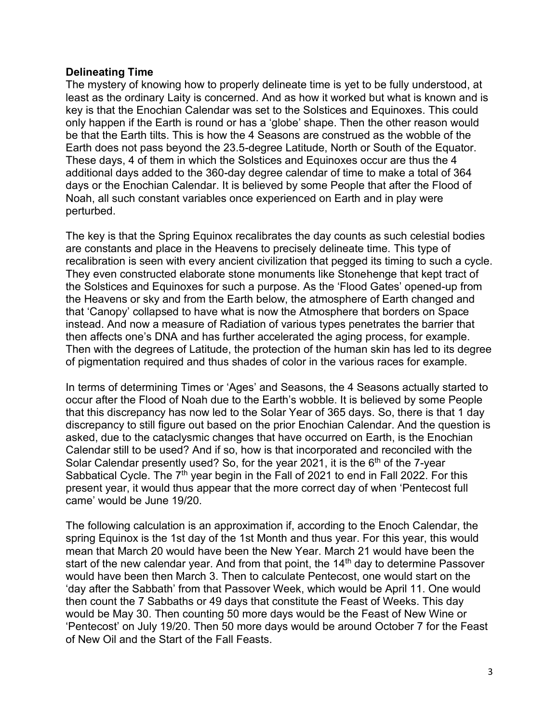#### **Delineating Time**

The mystery of knowing how to properly delineate time is yet to be fully understood, at least as the ordinary Laity is concerned. And as how it worked but what is known and is key is that the Enochian Calendar was set to the Solstices and Equinoxes. This could only happen if the Earth is round or has a 'globe' shape. Then the other reason would be that the Earth tilts. This is how the 4 Seasons are construed as the wobble of the Earth does not pass beyond the 23.5-degree Latitude, North or South of the Equator. These days, 4 of them in which the Solstices and Equinoxes occur are thus the 4 additional days added to the 360-day degree calendar of time to make a total of 364 days or the Enochian Calendar. It is believed by some People that after the Flood of Noah, all such constant variables once experienced on Earth and in play were perturbed.

The key is that the Spring Equinox recalibrates the day counts as such celestial bodies are constants and place in the Heavens to precisely delineate time. This type of recalibration is seen with every ancient civilization that pegged its timing to such a cycle. They even constructed elaborate stone monuments like Stonehenge that kept tract of the Solstices and Equinoxes for such a purpose. As the 'Flood Gates' opened-up from the Heavens or sky and from the Earth below, the atmosphere of Earth changed and that 'Canopy' collapsed to have what is now the Atmosphere that borders on Space instead. And now a measure of Radiation of various types penetrates the barrier that then affects one's DNA and has further accelerated the aging process, for example. Then with the degrees of Latitude, the protection of the human skin has led to its degree of pigmentation required and thus shades of color in the various races for example.

In terms of determining Times or 'Ages' and Seasons, the 4 Seasons actually started to occur after the Flood of Noah due to the Earth's wobble. It is believed by some People that this discrepancy has now led to the Solar Year of 365 days. So, there is that 1 day discrepancy to still figure out based on the prior Enochian Calendar. And the question is asked, due to the cataclysmic changes that have occurred on Earth, is the Enochian Calendar still to be used? And if so, how is that incorporated and reconciled with the Solar Calendar presently used? So, for the year 2021, it is the  $6<sup>th</sup>$  of the 7-year Sabbatical Cycle. The  $7<sup>th</sup>$  year begin in the Fall of 2021 to end in Fall 2022. For this present year, it would thus appear that the more correct day of when 'Pentecost full came' would be June 19/20.

The following calculation is an approximation if, according to the Enoch Calendar, the spring Equinox is the 1st day of the 1st Month and thus year. For this year, this would mean that March 20 would have been the New Year. March 21 would have been the start of the new calendar year. And from that point, the  $14<sup>th</sup>$  day to determine Passover would have been then March 3. Then to calculate Pentecost, one would start on the 'day after the Sabbath' from that Passover Week, which would be April 11. One would then count the 7 Sabbaths or 49 days that constitute the Feast of Weeks. This day would be May 30. Then counting 50 more days would be the Feast of New Wine or 'Pentecost' on July 19/20. Then 50 more days would be around October 7 for the Feast of New Oil and the Start of the Fall Feasts.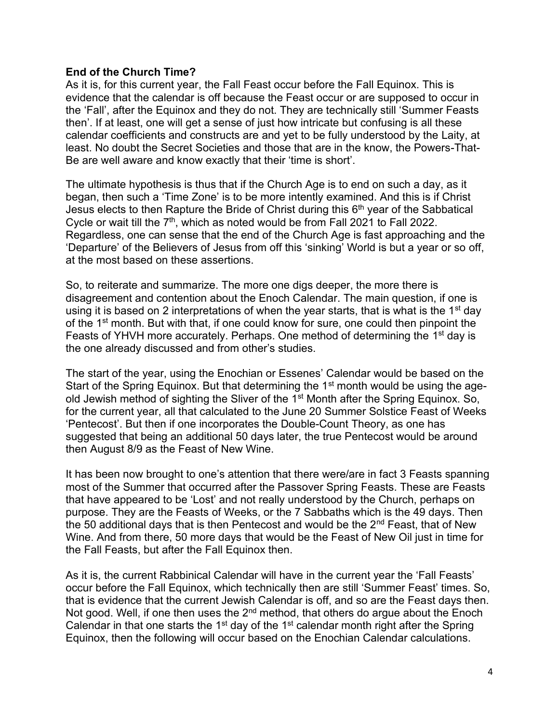#### **End of the Church Time?**

As it is, for this current year, the Fall Feast occur before the Fall Equinox. This is evidence that the calendar is off because the Feast occur or are supposed to occur in the 'Fall', after the Equinox and they do not. They are technically still 'Summer Feasts then'. If at least, one will get a sense of just how intricate but confusing is all these calendar coefficients and constructs are and yet to be fully understood by the Laity, at least. No doubt the Secret Societies and those that are in the know, the Powers-That-Be are well aware and know exactly that their 'time is short'.

The ultimate hypothesis is thus that if the Church Age is to end on such a day, as it began, then such a 'Time Zone' is to be more intently examined. And this is if Christ Jesus elects to then Rapture the Bride of Christ during this  $6<sup>th</sup>$  year of the Sabbatical Cycle or wait till the  $7<sup>th</sup>$ , which as noted would be from Fall 2021 to Fall 2022. Regardless, one can sense that the end of the Church Age is fast approaching and the 'Departure' of the Believers of Jesus from off this 'sinking' World is but a year or so off, at the most based on these assertions.

So, to reiterate and summarize. The more one digs deeper, the more there is disagreement and contention about the Enoch Calendar. The main question, if one is using it is based on 2 interpretations of when the year starts, that is what is the 1<sup>st</sup> day of the 1<sup>st</sup> month. But with that, if one could know for sure, one could then pinpoint the Feasts of YHVH more accurately. Perhaps. One method of determining the 1<sup>st</sup> day is the one already discussed and from other's studies.

The start of the year, using the Enochian or Essenes' Calendar would be based on the Start of the Spring Equinox. But that determining the 1<sup>st</sup> month would be using the ageold Jewish method of sighting the Sliver of the 1st Month after the Spring Equinox. So, for the current year, all that calculated to the June 20 Summer Solstice Feast of Weeks 'Pentecost'. But then if one incorporates the Double-Count Theory, as one has suggested that being an additional 50 days later, the true Pentecost would be around then August 8/9 as the Feast of New Wine.

It has been now brought to one's attention that there were/are in fact 3 Feasts spanning most of the Summer that occurred after the Passover Spring Feasts. These are Feasts that have appeared to be 'Lost' and not really understood by the Church, perhaps on purpose. They are the Feasts of Weeks, or the 7 Sabbaths which is the 49 days. Then the 50 additional days that is then Pentecost and would be the  $2<sup>nd</sup>$  Feast, that of New Wine. And from there, 50 more days that would be the Feast of New Oil just in time for the Fall Feasts, but after the Fall Equinox then.

As it is, the current Rabbinical Calendar will have in the current year the 'Fall Feasts' occur before the Fall Equinox, which technically then are still 'Summer Feast' times. So, that is evidence that the current Jewish Calendar is off, and so are the Feast days then. Not good. Well, if one then uses the  $2<sup>nd</sup>$  method, that others do argue about the Enoch Calendar in that one starts the 1<sup>st</sup> day of the 1<sup>st</sup> calendar month right after the Spring Equinox, then the following will occur based on the Enochian Calendar calculations.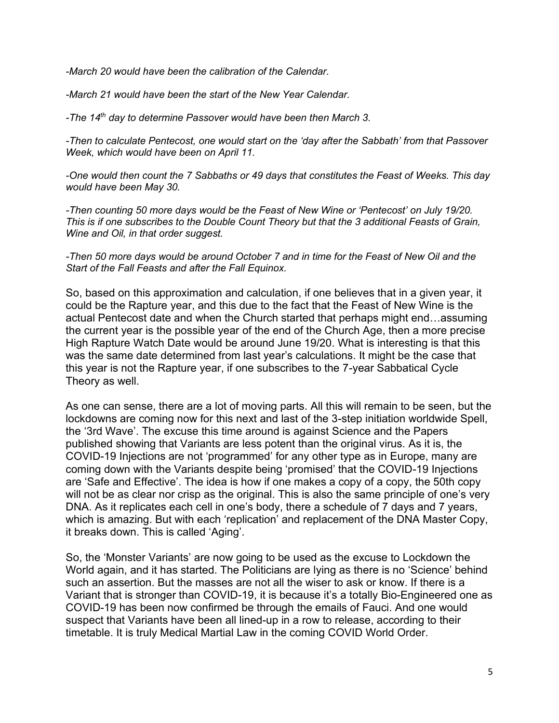*-March 20 would have been the calibration of the Calendar.* 

*-March 21 would have been the start of the New Year Calendar.* 

*-The 14th day to determine Passover would have been then March 3.* 

*-Then to calculate Pentecost, one would start on the 'day after the Sabbath' from that Passover Week, which would have been on April 11.* 

*-One would then count the 7 Sabbaths or 49 days that constitutes the Feast of Weeks. This day would have been May 30.* 

*-Then counting 50 more days would be the Feast of New Wine or 'Pentecost' on July 19/20. This is if one subscribes to the Double Count Theory but that the 3 additional Feasts of Grain, Wine and Oil, in that order suggest.* 

#### *-Then 50 more days would be around October 7 and in time for the Feast of New Oil and the Start of the Fall Feasts and after the Fall Equinox.*

So, based on this approximation and calculation, if one believes that in a given year, it could be the Rapture year, and this due to the fact that the Feast of New Wine is the actual Pentecost date and when the Church started that perhaps might end…assuming the current year is the possible year of the end of the Church Age, then a more precise High Rapture Watch Date would be around June 19/20. What is interesting is that this was the same date determined from last year's calculations. It might be the case that this year is not the Rapture year, if one subscribes to the 7-year Sabbatical Cycle Theory as well.

As one can sense, there are a lot of moving parts. All this will remain to be seen, but the lockdowns are coming now for this next and last of the 3-step initiation worldwide Spell, the '3rd Wave'. The excuse this time around is against Science and the Papers published showing that Variants are less potent than the original virus. As it is, the COVID-19 Injections are not 'programmed' for any other type as in Europe, many are coming down with the Variants despite being 'promised' that the COVID-19 Injections are 'Safe and Effective'. The idea is how if one makes a copy of a copy, the 50th copy will not be as clear nor crisp as the original. This is also the same principle of one's very DNA. As it replicates each cell in one's body, there a schedule of 7 days and 7 years, which is amazing. But with each 'replication' and replacement of the DNA Master Copy, it breaks down. This is called 'Aging'.

So, the 'Monster Variants' are now going to be used as the excuse to Lockdown the World again, and it has started. The Politicians are lying as there is no 'Science' behind such an assertion. But the masses are not all the wiser to ask or know. If there is a Variant that is stronger than COVID-19, it is because it's a totally Bio-Engineered one as COVID-19 has been now confirmed be through the emails of Fauci. And one would suspect that Variants have been all lined-up in a row to release, according to their timetable. It is truly Medical Martial Law in the coming COVID World Order.